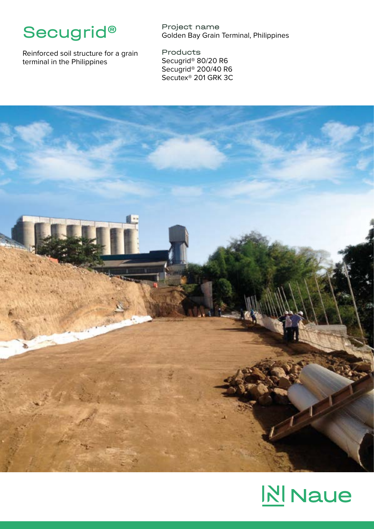

Reinforced soil structure for a grain terminal in the Philippines

Project name Golden Bay Grain Terminal, Philippines

Products Secugrid® 80/20 R6 Secugrid® 200/40 R6 Secutex® 201 GRK 3C